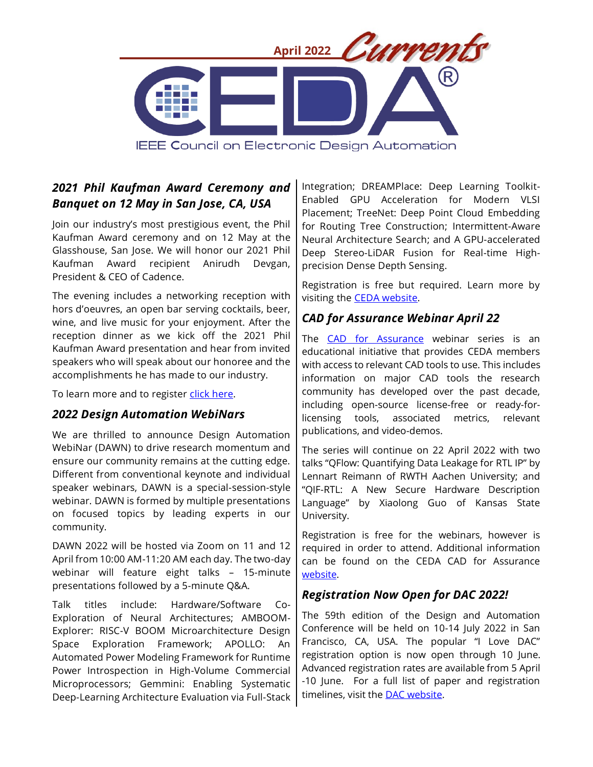

# *2021 Phil Kaufman Award Ceremony and Banquet on 12 May in San Jose, CA, USA*

Join our industry's most prestigious event, the Phil Kaufman Award ceremony and on 12 May at the Glasshouse, San Jose. We will honor our 2021 Phil Kaufman Award recipient Anirudh Devgan, President & CEO of Cadence.

The evening includes a networking reception with hors d'oeuvres, an open bar serving cocktails, beer, wine, and live music for your enjoyment. After the reception dinner as we kick off the 2021 Phil Kaufman Award presentation and hear from invited speakers who will speak about our honoree and the accomplishments he has made to our industry.

To learn more and to register [click here.](https://ieee-ceda.org/post/2021-phil-kaufman-award-dinner)

#### *2022 Design Automation WebiNars*

We are thrilled to announce Design Automation WebiNar (DAWN) to drive research momentum and ensure our community remains at the cutting edge. Different from conventional keynote and individual speaker webinars, DAWN is a special-session-style webinar. DAWN is formed by multiple presentations on focused topics by leading experts in our community.

DAWN 2022 will be hosted via Zoom on 11 and 12 April from 10:00 AM-11:20 AM each day. The two-day webinar will feature eight talks – 15-minute presentations followed by a 5-minute Q&A.

Talk titles include: Hardware/Software Co-Exploration of Neural Architectures; AMBOOM-Explorer: RISC-V BOOM Microarchitecture Design Space Exploration Framework; APOLLO: An Automated Power Modeling Framework for Runtime Power Introspection in High-Volume Commercial Microprocessors; Gemmini: Enabling Systematic Deep-Learning Architecture Evaluation via Full-Stack Integration; DREAMPlace: Deep Learning Toolkit-Enabled GPU Acceleration for Modern VLSI Placement; TreeNet: Deep Point Cloud Embedding for Routing Tree Construction; Intermittent-Aware Neural Architecture Search; and A GPU-accelerated Deep Stereo-LiDAR Fusion for Real-time Highprecision Dense Depth Sensing.

Registration is free but required. Learn more by visiting the [CEDA website.](https://ieee-ceda.org/dawn-webinars)

# *CAD for Assurance Webinar April 22*

The [CAD for Assurance](https://ieee-ceda.org/cad-assurance) webinar series is an educational initiative that provides CEDA members with access to relevant CAD tools to use. This includes information on major CAD tools the research community has developed over the past decade, including open-source license-free or ready-forlicensing tools, associated metrics, relevant publications, and video-demos.

The series will continue on 22 April 2022 with two talks "QFlow: Quantifying Data Leakage for RTL IP" by Lennart Reimann of RWTH Aachen University; and "QIF-RTL: A New Secure Hardware Description Language" by Xiaolong Guo of Kansas State University.

Registration is free for the webinars, however is required in order to attend. Additional information can be found on the CEDA CAD for Assurance [website.](https://ieee-ceda.org/cad-assurance)

## *Registration Now Open for DAC 2022!*

The 59th edition of the Design and Automation Conference will be held on 10-14 July 2022 in San Francisco, CA, USA. The popular "I Love DAC" registration option is now open through 10 June. Advanced registration rates are available from 5 April -10 June. For a full list of paper and registration timelines, visit the [DAC website.](https://www.dac.com/Attend/Registration)